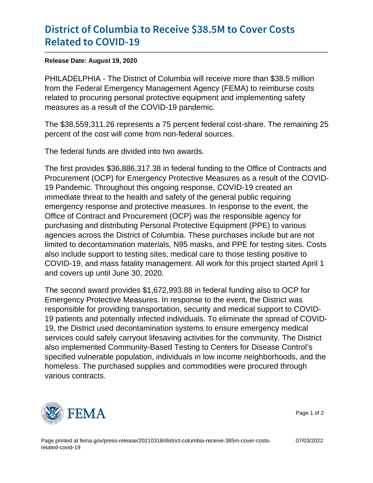## [District of Columbia to Receive](https://www.fema.gov/press-release/20210318/district-columbia-receive-385m-cover-costs-related-covid-19) \$38.5M to [Related to C](https://www.fema.gov/press-release/20210318/district-columbia-receive-385m-cover-costs-related-covid-19)OVID-19

Release Date: August 19, 2020

PHILADELPHIA - The District of Columbia will receive more than \$38.5 million from the Federal Emergency Management Agency (FEMA) to reimburse costs related to procuring personal protective equipment and implementing safety measures as a result of the COVID-19 pandemic.

The \$38,559,311.26 represents a 75 percent federal cost-share. The remaining 25 percent of the cost will come from non-federal sources.

The federal funds are divided into two awards.

The first provides \$36,886,317.38 in federal funding to the Office of Contracts and Procurement (OCP) for Emergency Protective Measures as a result of the COVID-19 Pandemic. Throughout this ongoing response, COVID-19 created an immediate threat to the health and safety of the general public requiring emergency response and protective measures. In response to the event, the Office of Contract and Procurement (OCP) was the responsible agency for purchasing and distributing Personal Protective Equipment (PPE) to various agencies across the District of Columbia. These purchases include but are not limited to decontamination materials, N95 masks, and PPE for testing sites. Costs also include support to testing sites, medical care to those testing positive to COVID-19, and mass fatality management. All work for this project started April 1 and covers up until June 30, 2020.

The second award provides \$1,672,993.88 in federal funding also to OCP for Emergency Protective Measures. In response to the event, the District was responsible for providing transportation, security and medical support to COVID-19 patients and potentially infected individuals. To eliminate the spread of COVID-19, the District used decontamination systems to ensure emergency medical services could safely carryout lifesaving activities for the community. The District also implemented Community-Based Testing to Centers for Disease Control's specified vulnerable population, individuals in low income neighborhoods, and the homeless. The purchased supplies and commodities were procured through various contracts.



Page 1 of 2